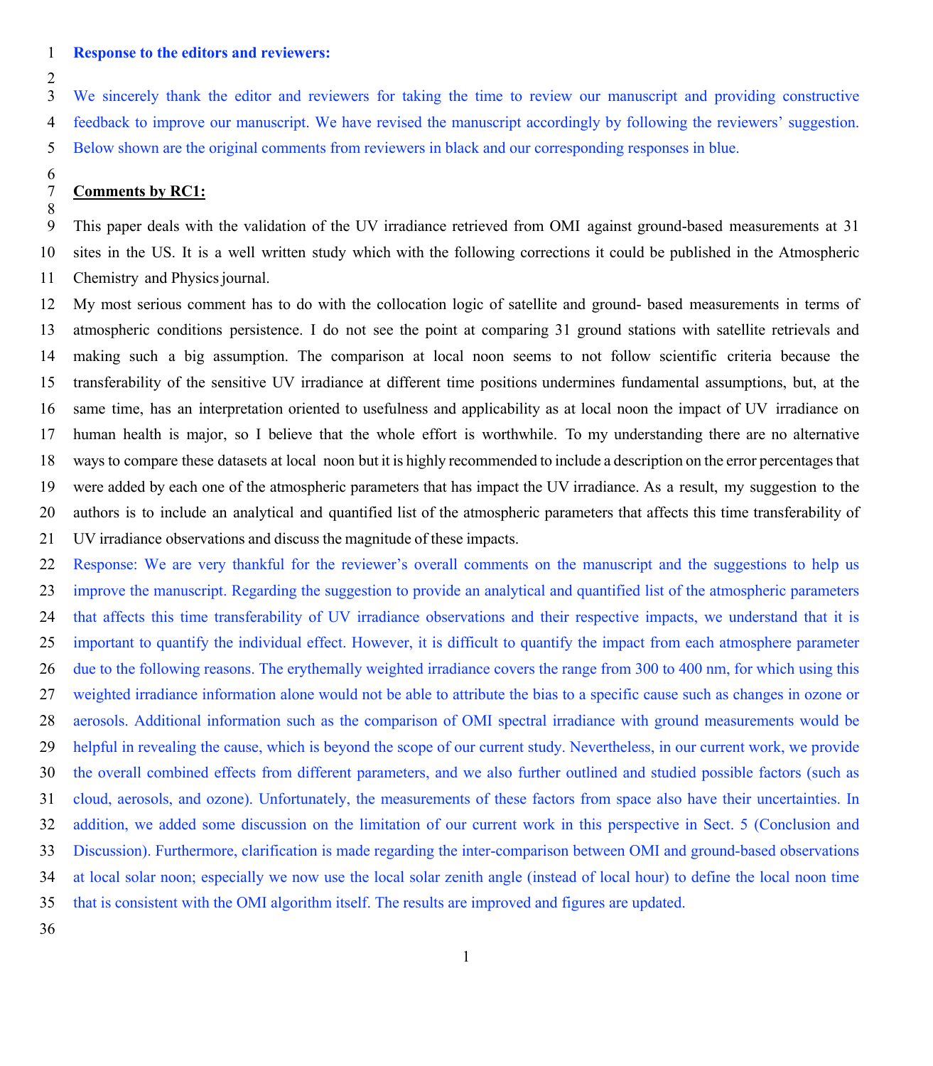#### **Response to the editors and reviewers:**

 $\overline{2}$ 

 We sincerely thank the editor and reviewers for taking the time to review our manuscript and providing constructive feedback to improve our manuscript. We have revised the manuscript accordingly by following the reviewers' suggestion. Below shown are the original comments from reviewers in black and our corresponding responses in blue.

# $\frac{6}{7}$ **Comments by RC1:**

8<br>9 This paper deals with the validation of the UV irradiance retrieved from OMI against ground-based measurements at 31 sites in the US. It is a well written study which with the following corrections it could be published in the Atmospheric 11 Chemistry and Physics journal.

 My most serious comment has to do with the collocation logic of satellite and ground- based measurements in terms of atmospheric conditions persistence. I do not see the point at comparing 31 ground stations with satellite retrievals and making such a big assumption. The comparison at local noon seems to not follow scientific criteria because the transferability of the sensitive UV irradiance at different time positions undermines fundamental assumptions, but, at the same time, has an interpretation oriented to usefulness and applicability as at local noon the impact of UV irradiance on human health is major, so I believe that the whole effort is worthwhile. To my understanding there are no alternative ways to compare these datasets at local noon but it is highly recommended to include a description on the error percentagesthat were added by each one of the atmospheric parameters that has impact the UV irradiance. As a result, my suggestion to the authors is to include an analytical and quantified list of the atmospheric parameters that affects this time transferability of UV irradiance observations and discuss the magnitude of these impacts.

 Response: We are very thankful for the reviewer's overall comments on the manuscript and the suggestions to help us improve the manuscript. Regarding the suggestion to provide an analytical and quantified list of the atmospheric parameters that affects this time transferability of UV irradiance observations and their respective impacts, we understand that it is important to quantify the individual effect. However, it is difficult to quantify the impact from each atmosphere parameter due to the following reasons. The erythemally weighted irradiance covers the range from 300 to 400 nm, for which using this weighted irradiance information alone would not be able to attribute the bias to a specific cause such as changes in ozone or aerosols. Additional information such as the comparison of OMI spectral irradiance with ground measurements would be helpful in revealing the cause, which is beyond the scope of our current study. Nevertheless, in our current work, we provide the overall combined effects from different parameters, and we also further outlined and studied possible factors (such as cloud, aerosols, and ozone). Unfortunately, the measurements of these factors from space also have their uncertainties. In addition, we added some discussion on the limitation of our current work in this perspective in Sect. 5 (Conclusion and Discussion). Furthermore, clarification is made regarding the inter-comparison between OMI and ground-based observations at local solar noon; especially we now use the local solar zenith angle (instead of local hour) to define the local noon time that is consistent with the OMI algorithm itself. The results are improved and figures are updated.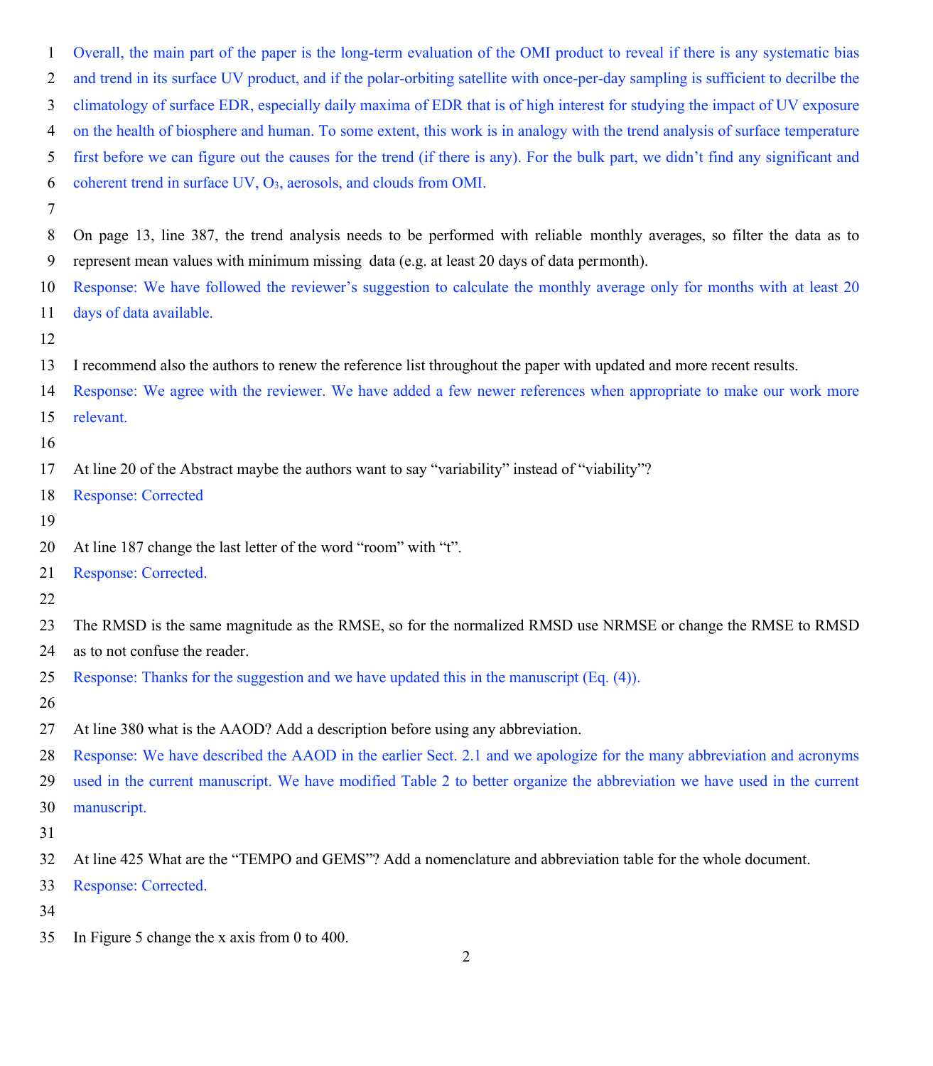Overall, the main part of the paper is the long-term evaluation of the OMI product to reveal if there is any systematic bias and trend in its surface UV product, and if the polar-orbiting satellite with once-per-day sampling is sufficient to decrilbe the climatology of surface EDR, especially daily maxima of EDR that is of high interest for studying the impact of UV exposure on the health of biosphere and human. To some extent, this work is in analogy with the trend analysis of surface temperature first before we can figure out the causes for the trend (if there is any). For the bulk part, we didn't find any significant and coherent trend in surface UV, O3, aerosols, and clouds from OMI.

 On page 13, line 387, the trend analysis needs to be performed with reliable monthly averages, so filter the data as to represent mean values with minimum missing data (e.g. at least 20 days of data permonth).

 Response: We have followed the reviewer's suggestion to calculate the monthly average only for months with at least 20 days of data available.

I recommend also the authors to renew the reference list throughout the paper with updated and more recent results.

Response: We agree with the reviewer. We have added a few newer references when appropriate to make our work more

relevant.

### 

At line 20 of the Abstract maybe the authors want to say "variability" instead of "viability"?

Response: Corrected

At line 187 change the last letter of the word "room" with "t".

Response: Corrected.

The RMSD is the same magnitude as the RMSE, so for the normalized RMSD use NRMSE or change the RMSE to RMSD

as to not confuse the reader.

Response: Thanks for the suggestion and we have updated this in the manuscript (Eq. (4)).

At line 380 what is the AAOD? Add a description before using any abbreviation.

Response: We have described the AAOD in the earlier Sect. 2.1 and we apologize for the many abbreviation and acronyms

used in the current manuscript. We have modified Table 2 to better organize the abbreviation we have used in the current

manuscript.

At line 425 What are the "TEMPO and GEMS"? Add a nomenclature and abbreviation table for the whole document.

Response: Corrected.

In Figure 5 change the x axis from 0 to 400.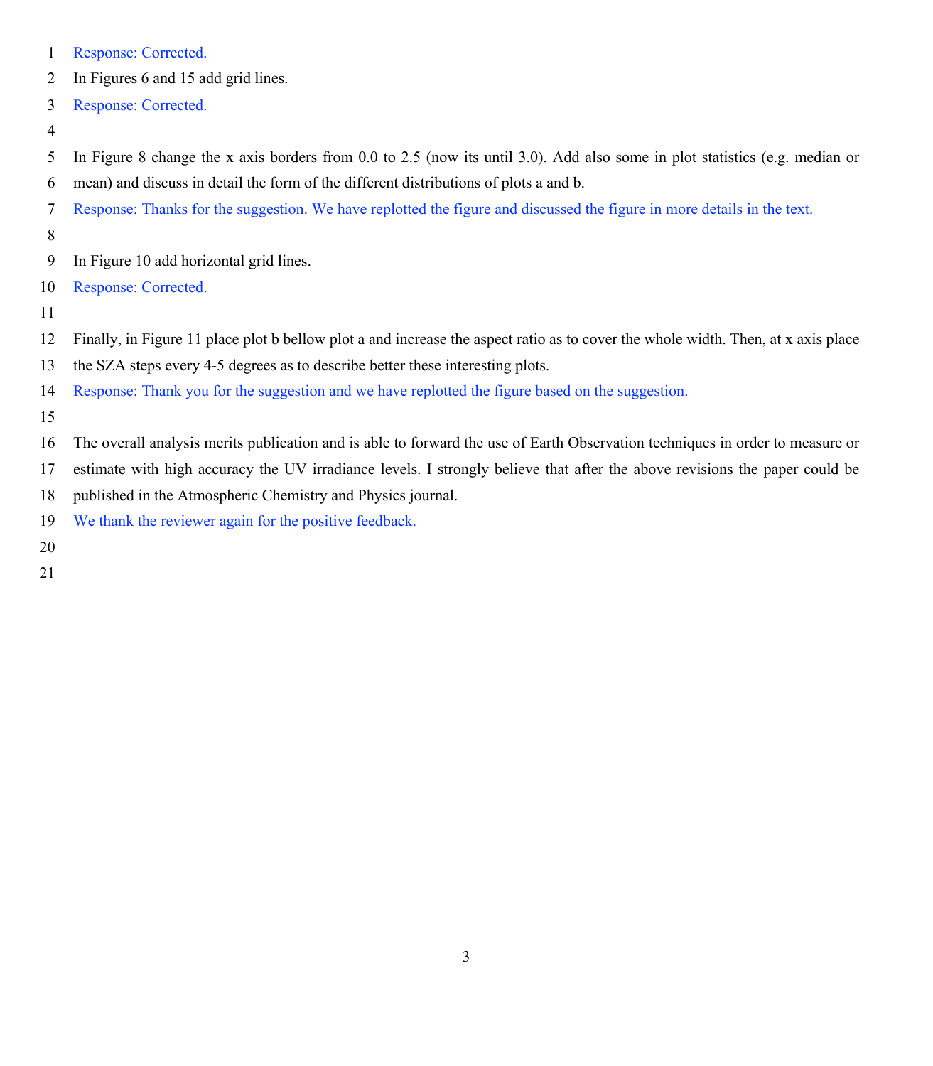- Response: Corrected.
- In Figures 6 and 15 add grid lines.
- Response: Corrected.

- In Figure 8 change the x axis borders from 0.0 to 2.5 (now its until 3.0). Add also some in plot statistics (e.g. median or mean) and discuss in detail the form of the different distributions of plots a and b.
- Response: Thanks for the suggestion. We have replotted the figure and discussed the figure in more details in the text.
- 
- In Figure 10 add horizontal grid lines.
- Response: Corrected.
- 
- Finally, in Figure 11 place plot b bellow plot a and increase the aspect ratio as to cover the whole width. Then, at x axis place
- the SZA steps every 4-5 degrees as to describe better these interesting plots.
- Response: Thank you for the suggestion and we have replotted the figure based on the suggestion.
- 
- The overall analysis merits publication and is able to forward the use of Earth Observation techniques in order to measure or
- estimate with high accuracy the UV irradiance levels. I strongly believe that after the above revisions the paper could be
- published in the Atmospheric Chemistry and Physics journal.
- We thank the reviewer again for the positive feedback.
- 
-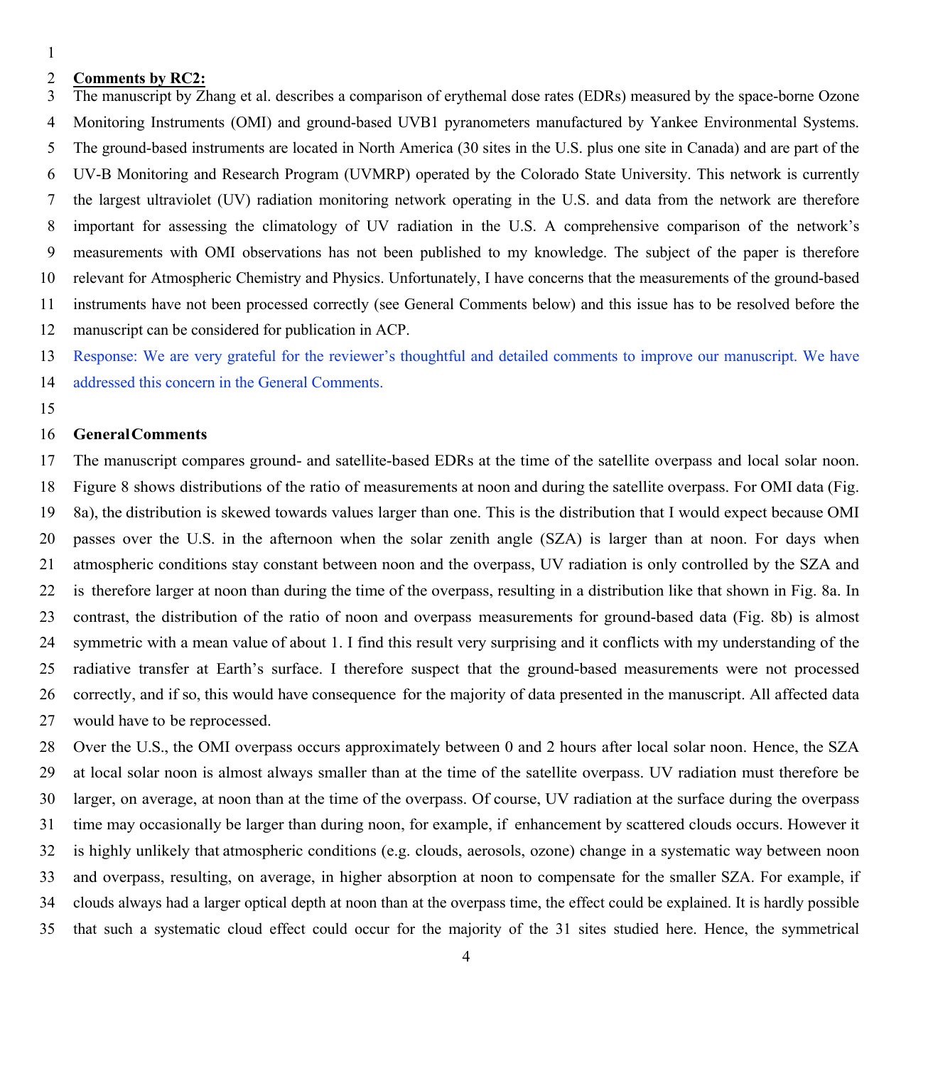# **Comments by RC2:**

 The manuscript by Zhang et al. describes a comparison of erythemal dose rates (EDRs) measured by the space-borne Ozone Monitoring Instruments (OMI) and ground-based UVB1 pyranometers manufactured by Yankee Environmental Systems. The ground-based instruments are located in North America (30 sites in the U.S. plus one site in Canada) and are part of the UV-B Monitoring and Research Program (UVMRP) operated by the Colorado State University. This network is currently the largest ultraviolet (UV) radiation monitoring network operating in the U.S. and data from the network are therefore important for assessing the climatology of UV radiation in the U.S. A comprehensive comparison of the network's measurements with OMI observations has not been published to my knowledge. The subject of the paper is therefore relevant for Atmospheric Chemistry and Physics. Unfortunately, I have concerns that the measurements of the ground-based instruments have not been processed correctly (see General Comments below) and this issue has to be resolved before the manuscript can be considered for publication in ACP.

Response: We are very grateful for the reviewer's thoughtful and detailed comments to improve our manuscript. We have

addressed this concern in the General Comments.

# **GeneralComments**

 The manuscript compares ground- and satellite-based EDRs at the time of the satellite overpass and local solar noon. Figure 8 shows distributions of the ratio of measurements at noon and during the satellite overpass. For OMI data (Fig. 8a), the distribution is skewed towards values larger than one. This is the distribution that I would expect because OMI passes over the U.S. in the afternoon when the solar zenith angle (SZA) is larger than at noon. For days when atmospheric conditions stay constant between noon and the overpass, UV radiation is only controlled by the SZA and is therefore larger at noon than during the time of the overpass, resulting in a distribution like that shown in Fig. 8a. In contrast, the distribution of the ratio of noon and overpass measurements for ground-based data (Fig. 8b) is almost symmetric with a mean value of about 1. I find this result very surprising and it conflicts with my understanding of the radiative transfer at Earth's surface. I therefore suspect that the ground-based measurements were not processed correctly, and if so, this would have consequence for the majority of data presented in the manuscript. All affected data would have to be reprocessed.

 Over the U.S., the OMI overpass occurs approximately between 0 and 2 hours after local solar noon. Hence, the SZA at local solar noon is almost always smaller than at the time of the satellite overpass. UV radiation must therefore be larger, on average, at noon than at the time of the overpass. Of course, UV radiation at the surface during the overpass time may occasionally be larger than during noon, for example, if enhancement by scattered clouds occurs. However it is highly unlikely that atmospheric conditions (e.g. clouds, aerosols, ozone) change in a systematic way between noon and overpass, resulting, on average, in higher absorption at noon to compensate for the smaller SZA. For example, if clouds always had a larger optical depth at noon than at the overpass time, the effect could be explained. It is hardly possible that such a systematic cloud effect could occur for the majority of the 31 sites studied here. Hence, the symmetrical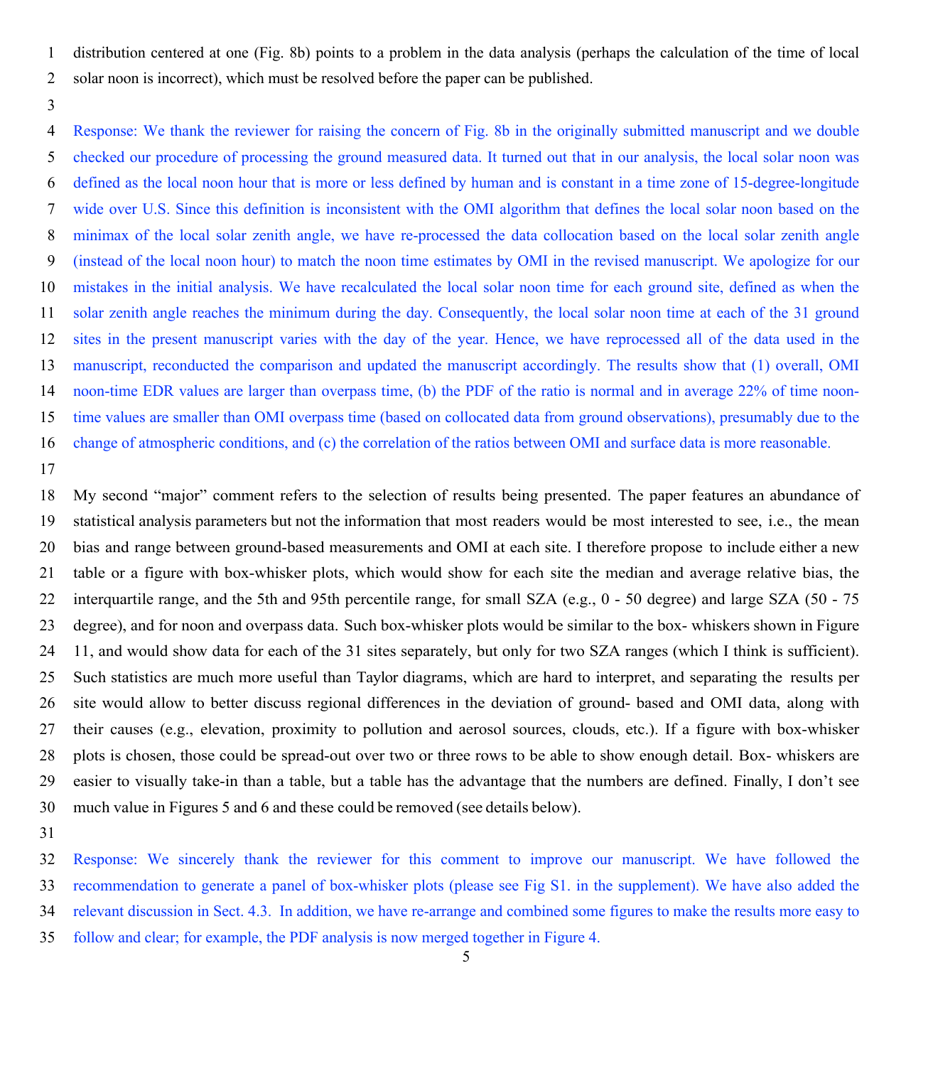distribution centered at one (Fig. 8b) points to a problem in the data analysis (perhaps the calculation of the time of local

- solar noon is incorrect), which must be resolved before the paper can be published.
- 

 Response: We thank the reviewer for raising the concern of Fig. 8b in the originally submitted manuscript and we double checked our procedure of processing the ground measured data. It turned out that in our analysis, the local solar noon was defined as the local noon hour that is more or less defined by human and is constant in a time zone of 15-degree-longitude wide over U.S. Since this definition is inconsistent with the OMI algorithm that defines the local solar noon based on the minimax of the local solar zenith angle, we have re-processed the data collocation based on the local solar zenith angle (instead of the local noon hour) to match the noon time estimates by OMI in the revised manuscript. We apologize for our mistakes in the initial analysis. We have recalculated the local solar noon time for each ground site, defined as when the solar zenith angle reaches the minimum during the day. Consequently, the local solar noon time at each of the 31 ground sites in the present manuscript varies with the day of the year. Hence, we have reprocessed all of the data used in the manuscript, reconducted the comparison and updated the manuscript accordingly. The results show that (1) overall, OMI noon-time EDR values are larger than overpass time, (b) the PDF of the ratio is normal and in average 22% of time noon- time values are smaller than OMI overpass time (based on collocated data from ground observations), presumably due to the change of atmospheric conditions, and (c) the correlation of the ratios between OMI and surface data is more reasonable.

 My second "major" comment refers to the selection of results being presented. The paper features an abundance of statistical analysis parameters but not the information that most readers would be most interested to see, i.e., the mean bias and range between ground-based measurements and OMI at each site. I therefore propose to include either a new table or a figure with box-whisker plots, which would show for each site the median and average relative bias, the interquartile range, and the 5th and 95th percentile range, for small SZA (e.g., 0 - 50 degree) and large SZA (50 - 75 degree), and for noon and overpass data. Such box-whisker plots would be similar to the box- whiskers shown in Figure 11, and would show data for each of the 31 sites separately, but only for two SZA ranges (which I think is sufficient). Such statistics are much more useful than Taylor diagrams, which are hard to interpret, and separating the results per site would allow to better discuss regional differences in the deviation of ground- based and OMI data, along with their causes (e.g., elevation, proximity to pollution and aerosol sources, clouds, etc.). If a figure with box-whisker plots is chosen, those could be spread-out over two or three rows to be able to show enough detail. Box- whiskers are easier to visually take-in than a table, but a table has the advantage that the numbers are defined. Finally, I don't see much value in Figures 5 and 6 and these could be removed (see details below).

 Response: We sincerely thank the reviewer for this comment to improve our manuscript. We have followed the recommendation to generate a panel of box-whisker plots (please see Fig S1. in the supplement). We have also added the relevant discussion in Sect. 4.3. In addition, we have re-arrange and combined some figures to make the results more easy to

follow and clear; for example, the PDF analysis is now merged together in Figure 4.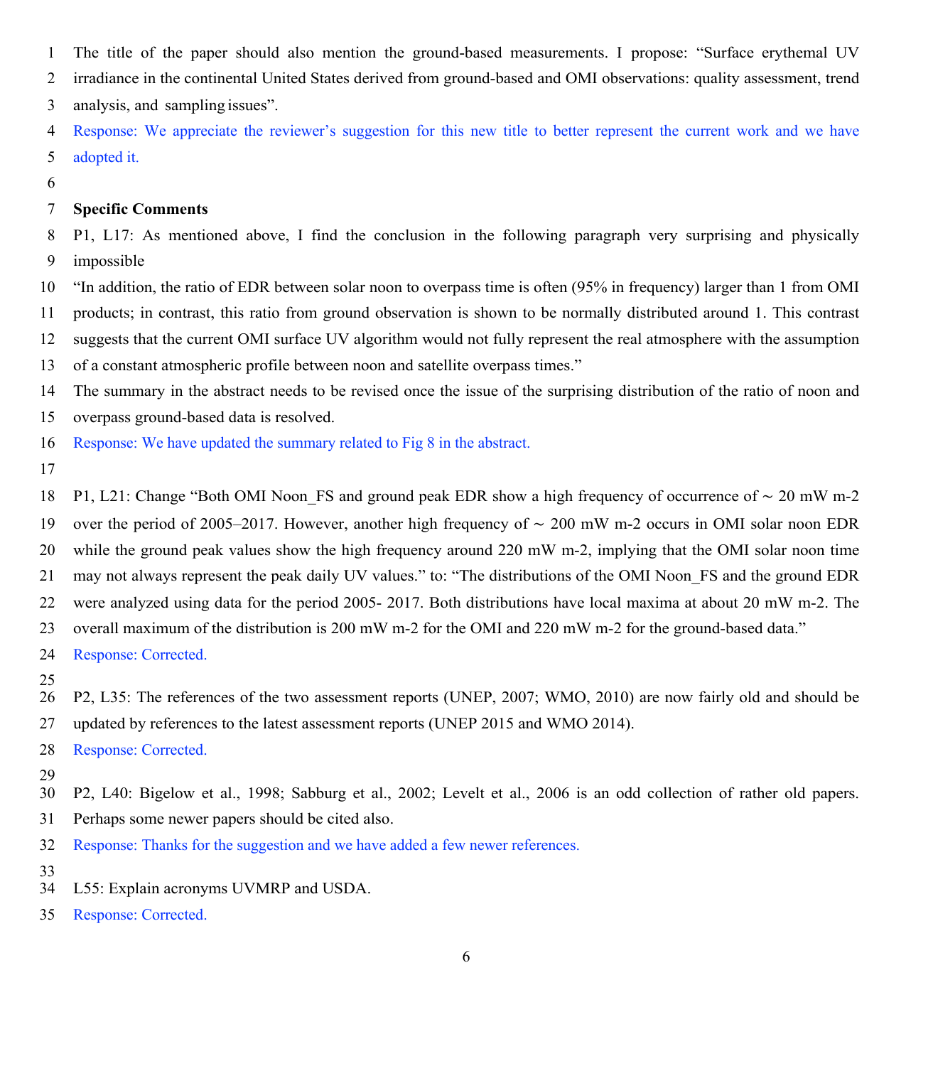The title of the paper should also mention the ground-based measurements. I propose: "Surface erythemal UV

irradiance in the continental United States derived from ground-based and OMI observations: quality assessment, trend

analysis, and sampling issues".

 Response: We appreciate the reviewer's suggestion for this new title to better represent the current work and we have adopted it.

# **Specific Comments**

 P1, L17: As mentioned above, I find the conclusion in the following paragraph very surprising and physically impossible

 "In addition, the ratio of EDR between solar noon to overpass time is often (95% in frequency) larger than 1 from OMI products; in contrast, this ratio from ground observation is shown to be normally distributed around 1. This contrast suggests that the current OMI surface UV algorithm would not fully represent the real atmosphere with the assumption of a constant atmospheric profile between noon and satellite overpass times."

The summary in the abstract needs to be revised once the issue of the surprising distribution of the ratio of noon and

overpass ground-based data is resolved.

Response: We have updated the summary related to Fig 8 in the abstract.

 P1, L21: Change "Both OMI Noon\_FS and ground peak EDR show a high frequency of occurrence of ∼ 20 mW m-2 over the period of 2005–2017. However, another high frequency of ∼ 200 mW m-2 occurs in OMI solar noon EDR while the ground peak values show the high frequency around 220 mW m-2, implying that the OMI solar noon time may not always represent the peak daily UV values." to: "The distributions of the OMI Noon\_FS and the ground EDR were analyzed using data for the period 2005- 2017. Both distributions have local maxima at about 20 mW m-2. The overall maximum of the distribution is 200 mW m-2 for the OMI and 220 mW m-2 for the ground-based data."

Response: Corrected.

 P2, L35: The references of the two assessment reports (UNEP, 2007; WMO, 2010) are now fairly old and should be updated by references to the latest assessment reports (UNEP 2015 and WMO 2014).

Response: Corrected.

P2, L40: Bigelow et al., 1998; Sabburg et al., 2002; Levelt et al., 2006 is an odd collection of rather old papers.

Perhaps some newer papers should be cited also.

Response: Thanks for the suggestion and we have added a few newer references.

- 
- L55: Explain acronyms UVMRP and USDA.

Response: Corrected.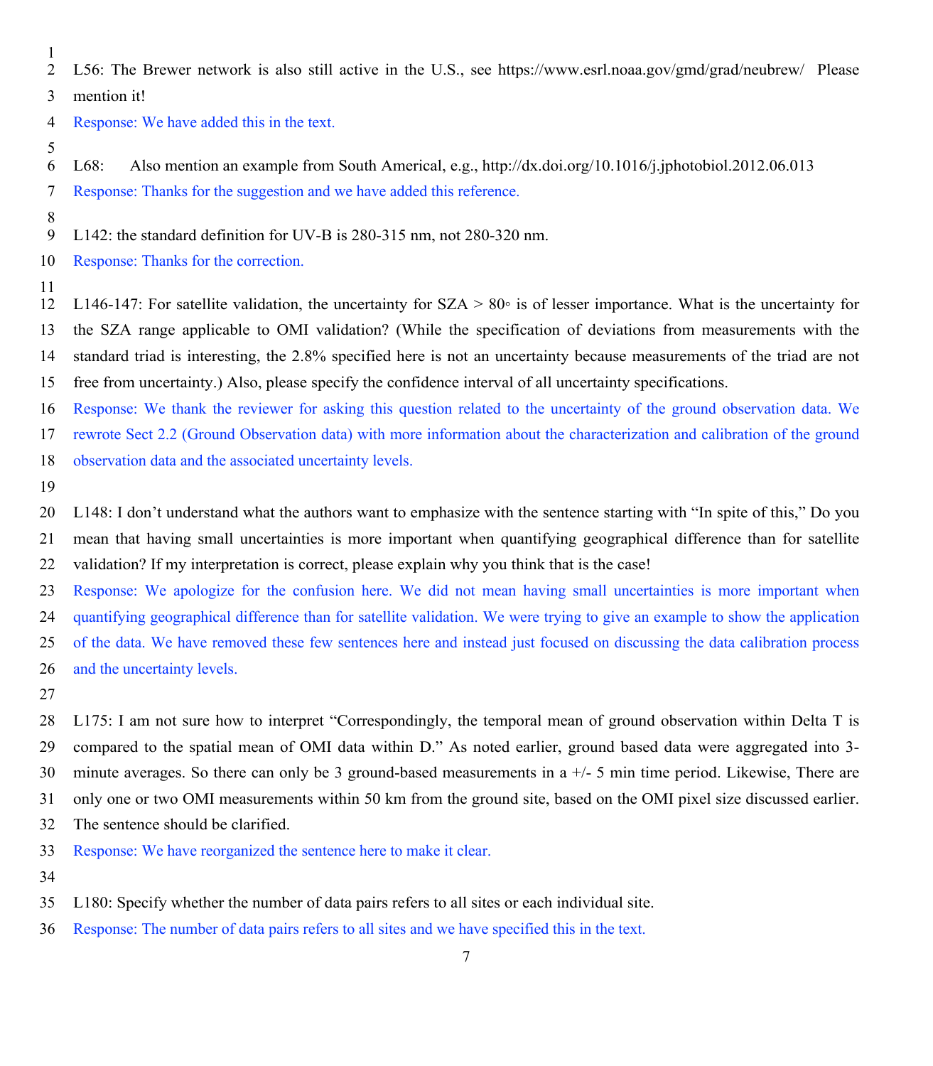- 
- L56: The Brewer network is also still active in the U.S., see https://www.esrl.noaa.gov/gmd/grad/neubrew/ Please

mention it!

- Response: We have added this in the text.
- 
- L68: Also mention an example from South Americal, e.g., http://dx.doi.org/10.1016/j.jphotobiol.2012.06.013
- Response: Thanks for the suggestion and we have added this reference.
- 
- L142: the standard definition for UV-B is 280-315 nm, not 280-320 nm.
- Response: Thanks for the correction.
- 

 L146-147: For satellite validation, the uncertainty for SZA > 80◦ is of lesser importance. What is the uncertainty for the SZA range applicable to OMI validation? (While the specification of deviations from measurements with the standard triad is interesting, the 2.8% specified here is not an uncertainty because measurements of the triad are not free from uncertainty.) Also, please specify the confidence interval of all uncertainty specifications.

Response: We thank the reviewer for asking this question related to the uncertainty of the ground observation data. We

rewrote Sect 2.2 (Ground Observation data) with more information about the characterization and calibration of the ground

- observation data and the associated uncertainty levels.
- 

 L148: I don't understand what the authors want to emphasize with the sentence starting with "In spite of this," Do you mean that having small uncertainties is more important when quantifying geographical difference than for satellite validation? If my interpretation is correct, please explain why you think that is the case!

 Response: We apologize for the confusion here. We did not mean having small uncertainties is more important when quantifying geographical difference than for satellite validation. We were trying to give an example to show the application

 of the data. We have removed these few sentences here and instead just focused on discussing the data calibration process and the uncertainty levels.

 L175: I am not sure how to interpret "Correspondingly, the temporal mean of ground observation within Delta T is compared to the spatial mean of OMI data within D." As noted earlier, ground based data were aggregated into 3- minute averages. So there can only be 3 ground-based measurements in a +/- 5 min time period. Likewise, There are only one or two OMI measurements within 50 km from the ground site, based on the OMI pixel size discussed earlier.

- The sentence should be clarified.
- Response: We have reorganized the sentence here to make it clear.
- 
- L180: Specify whether the number of data pairs refers to all sites or each individual site.
- Response: The number of data pairs refers to all sites and we have specified this in the text.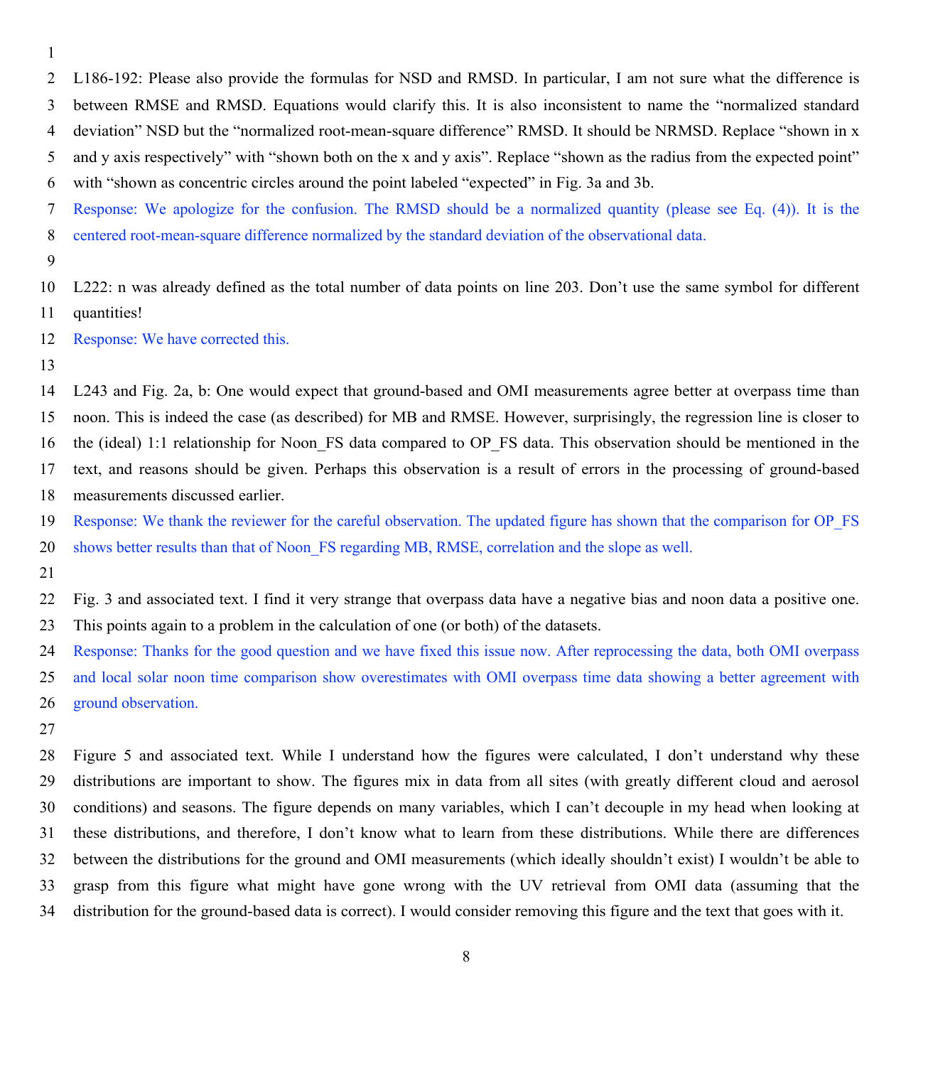L186-192: Please also provide the formulas for NSD and RMSD. In particular, I am not sure what the difference is

between RMSE and RMSD. Equations would clarify this. It is also inconsistent to name the "normalized standard

deviation" NSD but the "normalized root-mean-square difference" RMSD. It should be NRMSD. Replace "shown in x

and y axis respectively" with "shown both on the x and y axis". Replace "shown as the radius from the expected point"

with "shown as concentric circles around the point labeled "expected" in Fig. 3a and 3b.

Response: We apologize for the confusion. The RMSD should be a normalized quantity (please see Eq. (4)). It is the

centered root-mean-square difference normalized by the standard deviation of the observational data.

 L222: n was already defined as the total number of data points on line 203. Don't use the same symbol for different quantities!

Response: We have corrected this.

 L243 and Fig. 2a, b: One would expect that ground-based and OMI measurements agree better at overpass time than noon. This is indeed the case (as described) for MB and RMSE. However, surprisingly, the regression line is closer to the (ideal) 1:1 relationship for Noon\_FS data compared to OP\_FS data. This observation should be mentioned in the text, and reasons should be given. Perhaps this observation is a result of errors in the processing of ground-based measurements discussed earlier.

 Response: We thank the reviewer for the careful observation. The updated figure has shown that the comparison for OP\_FS 20 shows better results than that of Noon–FS regarding MB, RMSE, correlation and the slope as well.

 Fig. 3 and associated text. I find it very strange that overpass data have a negative bias and noon data a positive one. This points again to a problem in the calculation of one (or both) of the datasets.

 Response: Thanks for the good question and we have fixed this issue now. After reprocessing the data, both OMI overpass and local solar noon time comparison show overestimates with OMI overpass time data showing a better agreement with ground observation.

 Figure 5 and associated text. While I understand how the figures were calculated, I don't understand why these distributions are important to show. The figures mix in data from all sites (with greatly different cloud and aerosol conditions) and seasons. The figure depends on many variables, which I can't decouple in my head when looking at these distributions, and therefore, I don't know what to learn from these distributions. While there are differences between the distributions for the ground and OMI measurements (which ideally shouldn't exist) I wouldn't be able to grasp from this figure what might have gone wrong with the UV retrieval from OMI data (assuming that the distribution for the ground-based data is correct). I would consider removing this figure and the text that goes with it.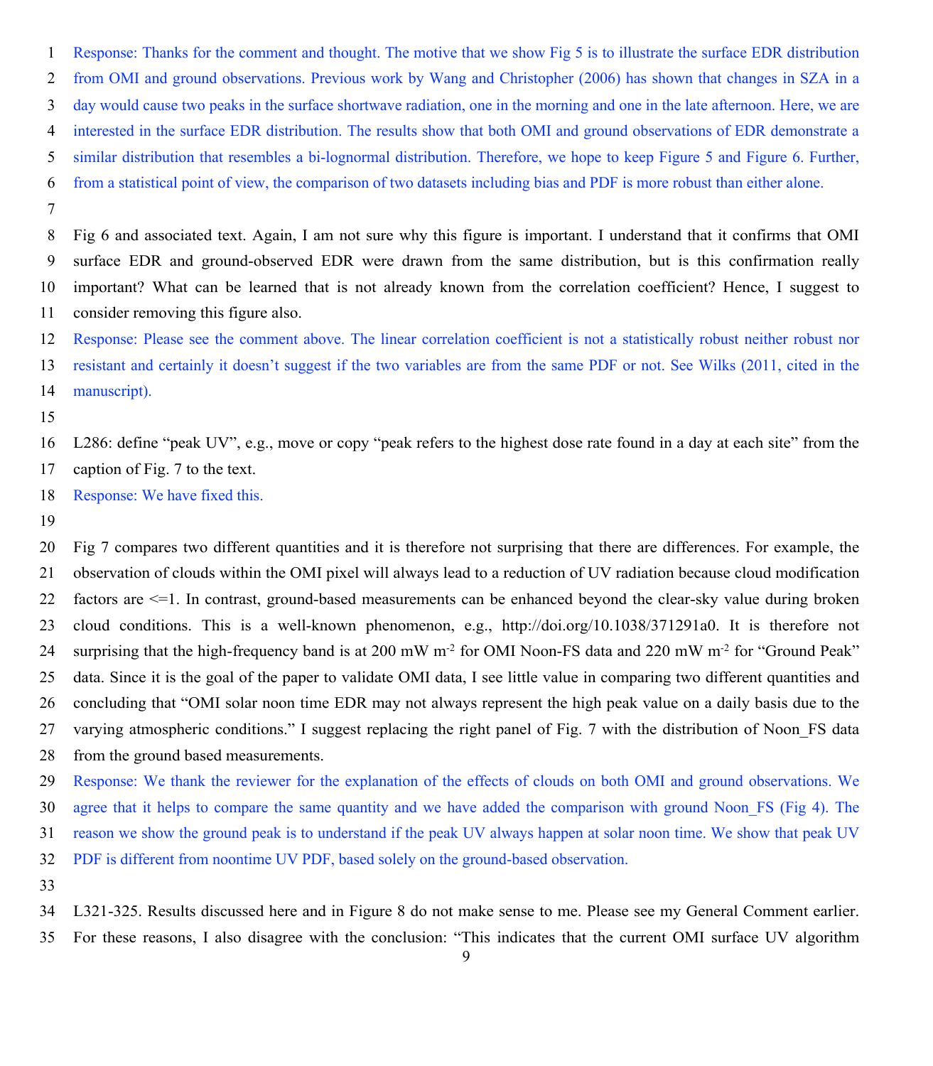Response: Thanks for the comment and thought. The motive that we show Fig 5 is to illustrate the surface EDR distribution from OMI and ground observations. Previous work by Wang and Christopher (2006) has shown that changes in SZA in a day would cause two peaks in the surface shortwave radiation, one in the morning and one in the late afternoon. Here, we are interested in the surface EDR distribution. The results show that both OMI and ground observations of EDR demonstrate a similar distribution that resembles a bi-lognormal distribution. Therefore, we hope to keep Figure 5 and Figure 6. Further, from a statistical point of view, the comparison of two datasets including bias and PDF is more robust than either alone.

 Fig 6 and associated text. Again, I am not sure why this figure is important. I understand that it confirms that OMI surface EDR and ground-observed EDR were drawn from the same distribution, but is this confirmation really important? What can be learned that is not already known from the correlation coefficient? Hence, I suggest to consider removing this figure also.

Response: Please see the comment above. The linear correlation coefficient is not a statistically robust neither robust nor

 resistant and certainly it doesn't suggest if the two variables are from the same PDF or not. See Wilks (2011, cited in the manuscript).

 L286: define "peak UV", e.g., move or copy "peak refers to the highest dose rate found in a day at each site" from the caption of Fig. 7 to the text.

Response: We have fixed this.

 Fig 7 compares two different quantities and it is therefore not surprising that there are differences. For example, the observation of clouds within the OMI pixel will always lead to a reduction of UV radiation because cloud modification factors are <=1. In contrast, ground-based measurements can be enhanced beyond the clear-sky value during broken cloud conditions. This is a well-known phenomenon, e.g., http://doi.org/10.1038/371291a0. It is therefore not 24 surprising that the high-frequency band is at 200 mW m<sup>-2</sup> for OMI Noon-FS data and 220 mW m<sup>-2</sup> for "Ground Peak" data. Since it is the goal of the paper to validate OMI data, I see little value in comparing two different quantities and concluding that "OMI solar noon time EDR may not always represent the high peak value on a daily basis due to the varying atmospheric conditions." I suggest replacing the right panel of Fig. 7 with the distribution of Noon\_FS data from the ground based measurements.

 Response: We thank the reviewer for the explanation of the effects of clouds on both OMI and ground observations. We agree that it helps to compare the same quantity and we have added the comparison with ground Noon\_FS (Fig 4). The reason we show the ground peak is to understand if the peak UV always happen at solar noon time. We show that peak UV PDF is different from noontime UV PDF, based solely on the ground-based observation.

 L321-325. Results discussed here and in Figure 8 do not make sense to me. Please see my General Comment earlier. For these reasons, I also disagree with the conclusion: "This indicates that the current OMI surface UV algorithm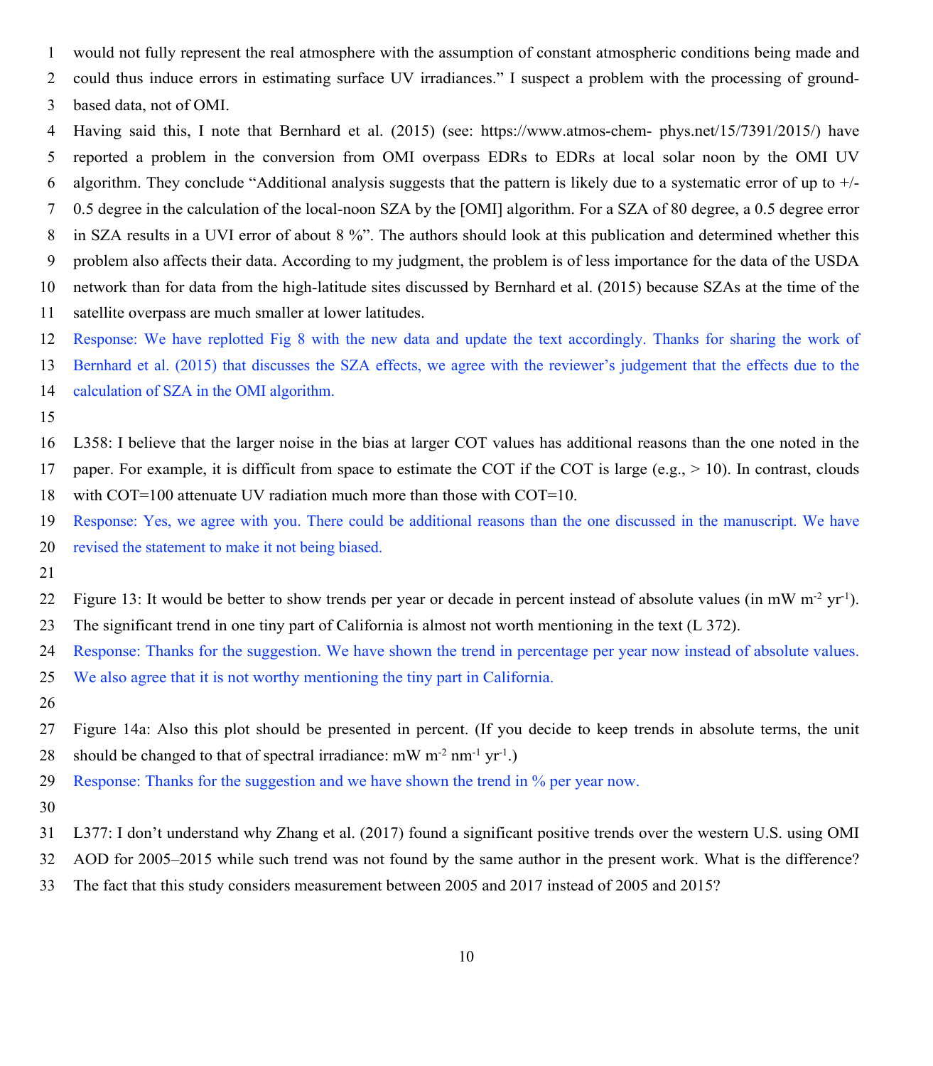- would not fully represent the real atmosphere with the assumption of constant atmospheric conditions being made and
- could thus induce errors in estimating surface UV irradiances." I suspect a problem with the processing of ground-
- based data, not of OMI.
- Having said this, I note that Bernhard et al. (2015) (see: https://www.atmos-chem- phys.net/15/7391/2015/) have reported a problem in the conversion from OMI overpass EDRs to EDRs at local solar noon by the OMI UV
- 6 algorithm. They conclude "Additional analysis suggests that the pattern is likely due to a systematic error of up to  $+/-$
- 0.5 degree in the calculation of the local-noon SZA by the [OMI] algorithm. For a SZA of 80 degree, a 0.5 degree error
- 8 in SZA results in a UVI error of about 8 %". The authors should look at this publication and determined whether this
- problem also affects their data. According to my judgment, the problem is of less importance for the data of the USDA
- network than for data from the high-latitude sites discussed by Bernhard et al. (2015) because SZAs at the time of the
- satellite overpass are much smaller at lower latitudes.
- Response: We have replotted Fig 8 with the new data and update the text accordingly. Thanks for sharing the work of
- Bernhard et al. (2015) that discusses the SZA effects, we agree with the reviewer's judgement that the effects due to the
- calculation of SZA in the OMI algorithm.
- 
- L358: I believe that the larger noise in the bias at larger COT values has additional reasons than the one noted in the 17 paper. For example, it is difficult from space to estimate the COT if the COT is large (e.g.,  $> 10$ ). In contrast, clouds
- with COT=100 attenuate UV radiation much more than those with COT=10.
- Response: Yes, we agree with you. There could be additional reasons than the one discussed in the manuscript. We have revised the statement to make it not being biased.
- 
- Figure 13: It would be better to show trends per year or decade in percent instead of absolute values (in mW  $m^2 yr^1$ ).
- The significant trend in one tiny part of California is almost not worth mentioning in the text (L 372).
- Response: Thanks for the suggestion. We have shown the trend in percentage per year now instead of absolute values.
- We also agree that it is not worthy mentioning the tiny part in California.
- 
- Figure 14a: Also this plot should be presented in percent. (If you decide to keep trends in absolute terms, the unit 28 should be changed to that of spectral irradiance: mW m<sup>-2</sup> nm<sup>-1</sup> yr<sup>-1</sup>.)
- Response: Thanks for the suggestion and we have shown the trend in % per year now.
- 
- L377: I don't understand why Zhang et al. (2017) found a significant positive trends over the western U.S. using OMI
- AOD for 2005–2015 while such trend was not found by the same author in the present work. What is the difference?
- The fact that this study considers measurement between 2005 and 2017 instead of 2005 and 2015?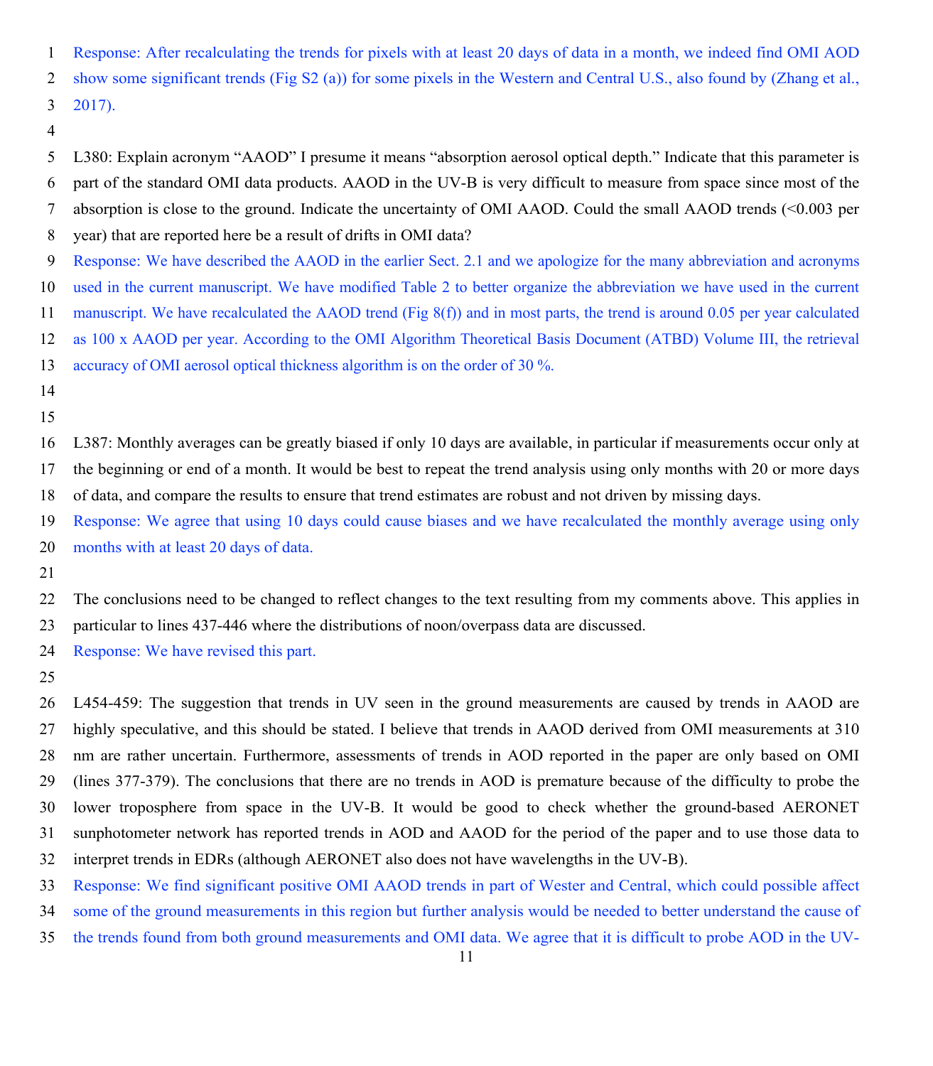Response: After recalculating the trends for pixels with at least 20 days of data in a month, we indeed find OMI AOD show some significant trends (Fig S2 (a)) for some pixels in the Western and Central U.S., also found by (Zhang et al., 2017).

 L380: Explain acronym "AAOD" I presume it means "absorption aerosol optical depth." Indicate that this parameter is part of the standard OMI data products. AAOD in the UV-B is very difficult to measure from space since most of the absorption is close to the ground. Indicate the uncertainty of OMI AAOD. Could the small AAOD trends (<0.003 per year) that are reported here be a result of drifts in OMI data?

- Response: We have described the AAOD in the earlier Sect. 2.1 and we apologize for the many abbreviation and acronyms
- used in the current manuscript. We have modified Table 2 to better organize the abbreviation we have used in the current
- manuscript. We have recalculated the AAOD trend (Fig 8(f)) and in most parts, the trend is around 0.05 per year calculated
- as 100 x AAOD per year. According to the OMI Algorithm Theoretical Basis Document (ATBD) Volume III, the retrieval
- accuracy of OMI aerosol optical thickness algorithm is on the order of 30 %.
- 
- 

 L387: Monthly averages can be greatly biased if only 10 days are available, in particular if measurements occur only at the beginning or end of a month. It would be best to repeat the trend analysis using only months with 20 or more days of data, and compare the results to ensure that trend estimates are robust and not driven by missing days.

 Response: We agree that using 10 days could cause biases and we have recalculated the monthly average using only months with at least 20 days of data.

 The conclusions need to be changed to reflect changes to the text resulting from my comments above. This applies in particular to lines 437-446 where the distributions of noon/overpass data are discussed.

Response: We have revised this part.

 L454-459: The suggestion that trends in UV seen in the ground measurements are caused by trends in AAOD are highly speculative, and this should be stated. I believe that trends in AAOD derived from OMI measurements at 310 nm are rather uncertain. Furthermore, assessments of trends in AOD reported in the paper are only based on OMI (lines 377-379). The conclusions that there are no trends in AOD is premature because of the difficulty to probe the lower troposphere from space in the UV-B. It would be good to check whether the ground-based AERONET sunphotometer network has reported trends in AOD and AAOD for the period of the paper and to use those data to interpret trends in EDRs (although AERONET also does not have wavelengths in the UV-B).

- Response: We find significant positive OMI AAOD trends in part of Wester and Central, which could possible affect
- some of the ground measurements in this region but further analysis would be needed to better understand the cause of
- the trends found from both ground measurements and OMI data. We agree that it is difficult to probe AOD in the UV-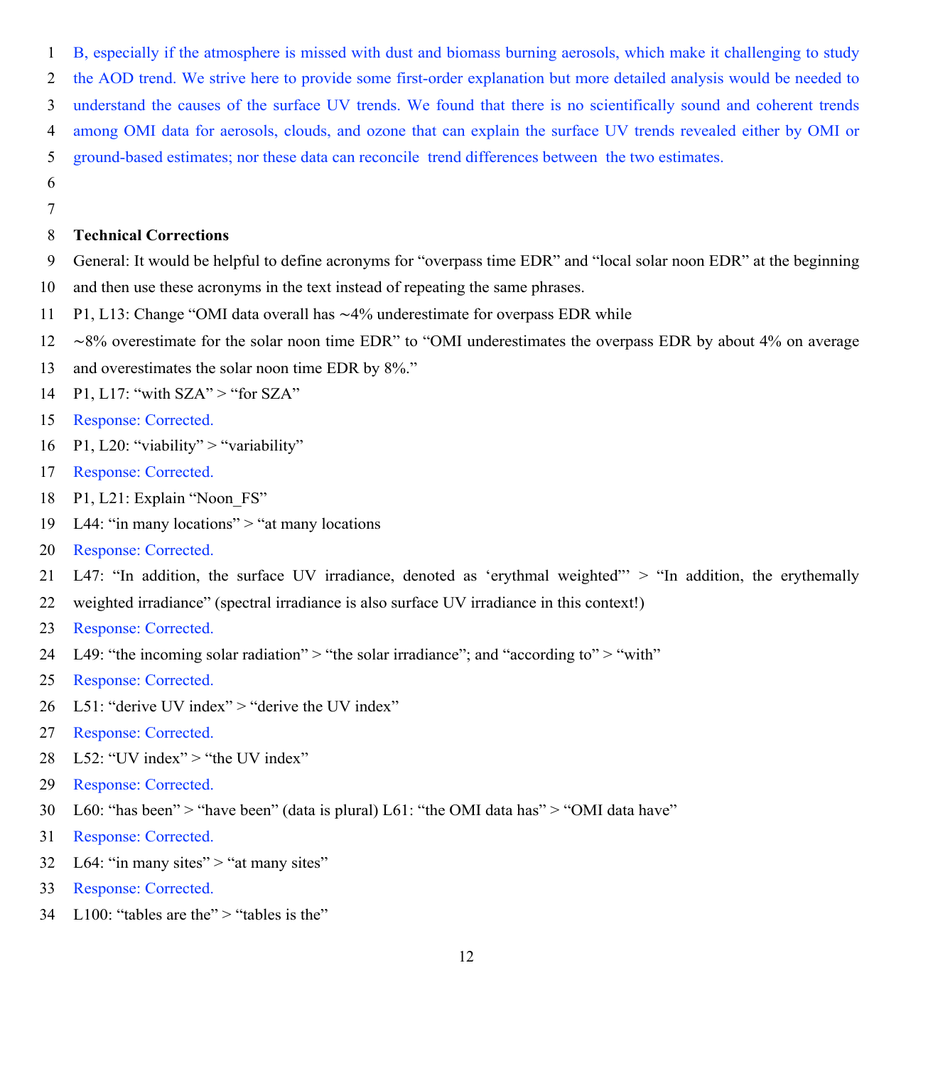B, especially if the atmosphere is missed with dust and biomass burning aerosols, which make it challenging to study the AOD trend. We strive here to provide some first-order explanation but more detailed analysis would be needed to understand the causes of the surface UV trends. We found that there is no scientifically sound and coherent trends among OMI data for aerosols, clouds, and ozone that can explain the surface UV trends revealed either by OMI or

- ground-based estimates; nor these data can reconcile trend differences between the two estimates.
- 

### **Technical Corrections**

- General: It would be helpful to define acronyms for "overpass time EDR" and "local solar noon EDR" at the beginning
- and then use these acronyms in the text instead of repeating the same phrases.
- P1, L13: Change "OMI data overall has ∼4% underestimate for overpass EDR while
- ∼8% overestimate for the solar noon time EDR" to "OMI underestimates the overpass EDR by about 4% on average
- and overestimates the solar noon time EDR by 8%."
- 14 P1, L17: "with  $SZA" >$  "for  $SZA"$
- Response: Corrected.
- 16 P1, L20: "viability" > "variability"
- Response: Corrected.
- P1, L21: Explain "Noon\_FS"
- L44: "in many locations" > "at many locations
- Response: Corrected.
- L47: "In addition, the surface UV irradiance, denoted as 'erythmal weighted"' > "In addition, the erythemally
- weighted irradiance" (spectral irradiance is also surface UV irradiance in this context!)
- Response: Corrected.
- 24 L49: "the incoming solar radiation"  $>$  "the solar irradiance"; and "according to"  $>$  "with"
- Response: Corrected.
- 26 L51: "derive UV index" > "derive the UV index"
- Response: Corrected.
- L52: "UV index" > "the UV index"
- Response: Corrected.
- L60: "has been" > "have been" (data is plural) L61: "the OMI data has" > "OMI data have"
- Response: Corrected.
- 32 L64: "in many sites" > "at many sites"
- Response: Corrected.
- L100: "tables are the" > "tables is the"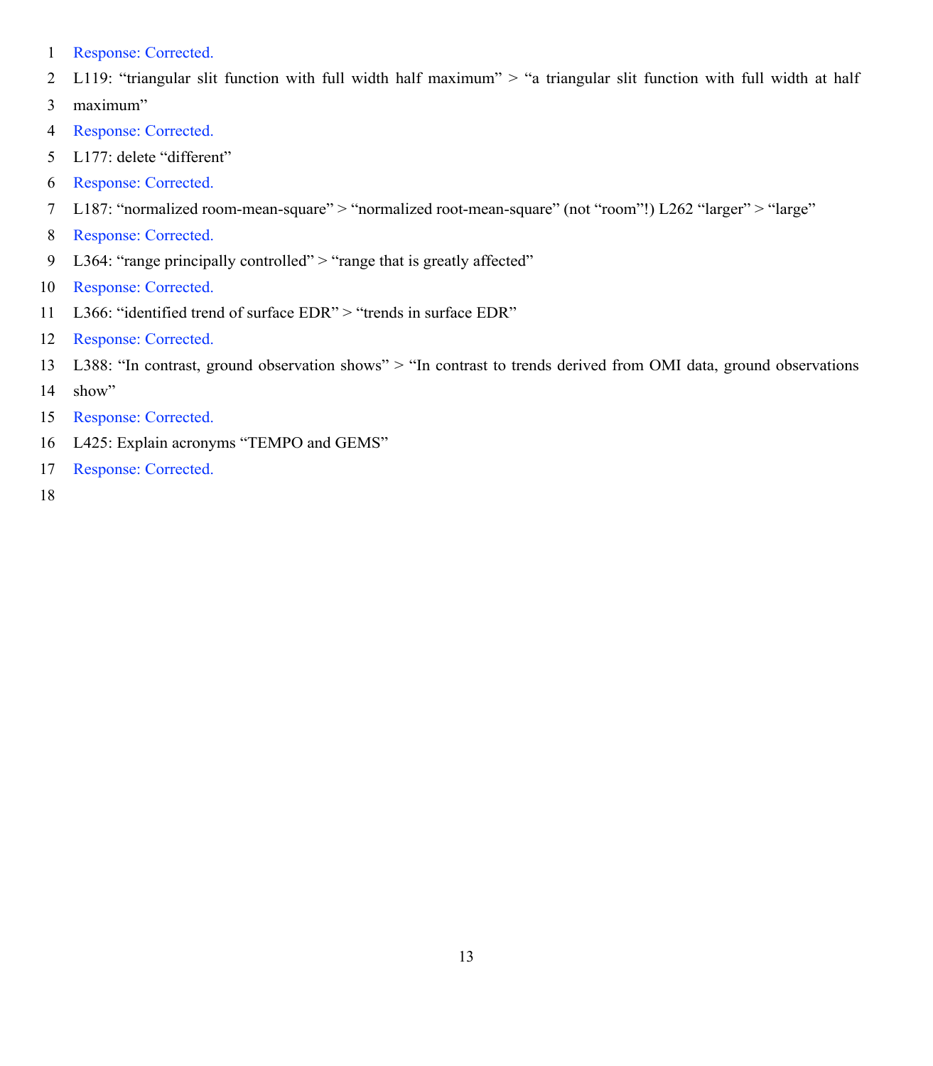- Response: Corrected.
- L119: "triangular slit function with full width half maximum" > "a triangular slit function with full width at half
- maximum"
- Response: Corrected.
- L177: delete "different"
- Response: Corrected.
- L187: "normalized room-mean-square" > "normalized root-mean-square" (not "room"!) L262 "larger" > "large"
- Response: Corrected.
- 9 L364: "range principally controlled" > "range that is greatly affected"
- Response: Corrected.
- L366: "identified trend of surface EDR" > "trends in surface EDR"
- Response: Corrected.
- L388: "In contrast, ground observation shows" > "In contrast to trends derived from OMI data, ground observations
- show"
- Response: Corrected.
- L425: Explain acronyms "TEMPO and GEMS"
- Response: Corrected.
-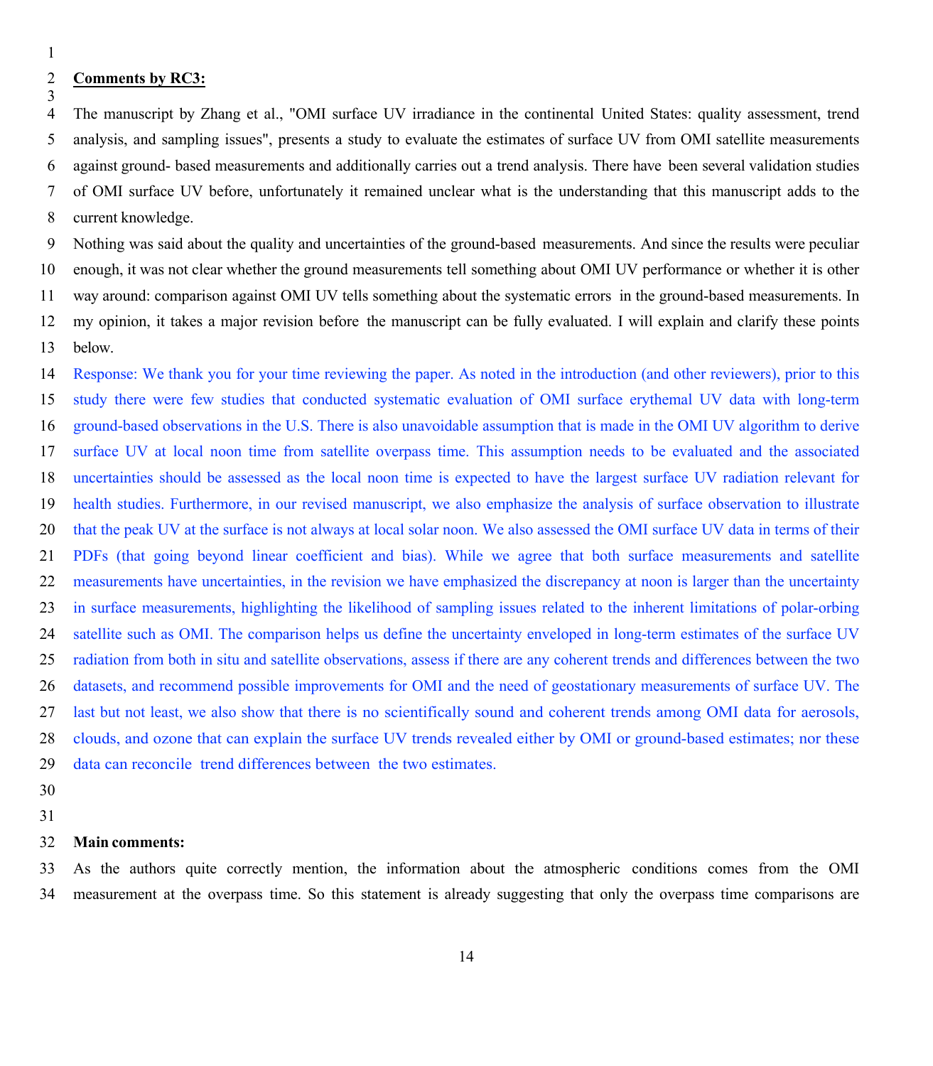#### **Comments by RC3:**

 The manuscript by Zhang et al., "OMI surface UV irradiance in the continental United States: quality assessment, trend analysis, and sampling issues", presents a study to evaluate the estimates of surface UV from OMI satellite measurements against ground- based measurements and additionally carries out a trend analysis. There have been several validation studies of OMI surface UV before, unfortunately it remained unclear what is the understanding that this manuscript adds to the current knowledge.

 Nothing was said about the quality and uncertainties of the ground-based measurements. And since the results were peculiar enough, it was not clear whether the ground measurements tell something about OMI UV performance or whether it is other way around: comparison against OMI UV tells something about the systematic errors in the ground-based measurements. In my opinion, it takes a major revision before the manuscript can be fully evaluated. I will explain and clarify these points below.

 Response: We thank you for your time reviewing the paper. As noted in the introduction (and other reviewers), prior to this study there were few studies that conducted systematic evaluation of OMI surface erythemal UV data with long-term ground-based observations in the U.S. There is also unavoidable assumption that is made in the OMI UV algorithm to derive surface UV at local noon time from satellite overpass time. This assumption needs to be evaluated and the associated uncertainties should be assessed as the local noon time is expected to have the largest surface UV radiation relevant for health studies. Furthermore, in our revised manuscript, we also emphasize the analysis of surface observation to illustrate that the peak UV at the surface is not always at local solar noon. We also assessed the OMI surface UV data in terms of their PDFs (that going beyond linear coefficient and bias). While we agree that both surface measurements and satellite measurements have uncertainties, in the revision we have emphasized the discrepancy at noon is larger than the uncertainty in surface measurements, highlighting the likelihood of sampling issues related to the inherent limitations of polar-orbing satellite such as OMI. The comparison helps us define the uncertainty enveloped in long-term estimates of the surface UV radiation from both in situ and satellite observations, assess if there are any coherent trends and differences between the two datasets, and recommend possible improvements for OMI and the need of geostationary measurements of surface UV. The last but not least, we also show that there is no scientifically sound and coherent trends among OMI data for aerosols, clouds, and ozone that can explain the surface UV trends revealed either by OMI or ground-based estimates; nor these data can reconcile trend differences between the two estimates.

- 
- 

#### **Main comments:**

 As the authors quite correctly mention, the information about the atmospheric conditions comes from the OMI measurement at the overpass time. So this statement is already suggesting that only the overpass time comparisons are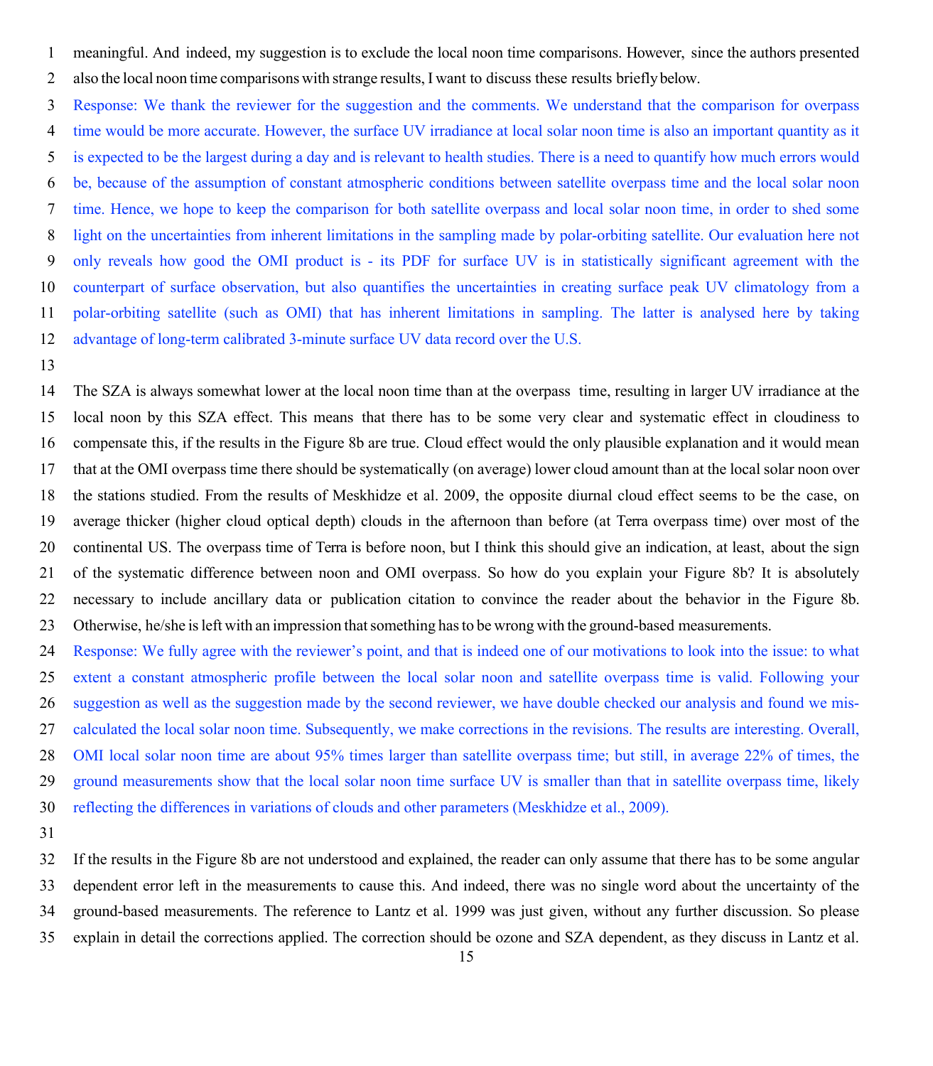meaningful. And indeed, my suggestion is to exclude the local noon time comparisons. However, since the authors presented also the local noon time comparisons with strange results, I want to discuss these results briefly below.

 Response: We thank the reviewer for the suggestion and the comments. We understand that the comparison for overpass time would be more accurate. However, the surface UV irradiance at local solar noon time is also an important quantity as it is expected to be the largest during a day and is relevant to health studies. There is a need to quantify how much errors would be, because of the assumption of constant atmospheric conditions between satellite overpass time and the local solar noon time. Hence, we hope to keep the comparison for both satellite overpass and local solar noon time, in order to shed some light on the uncertainties from inherent limitations in the sampling made by polar-orbiting satellite. Our evaluation here not only reveals how good the OMI product is - its PDF for surface UV is in statistically significant agreement with the counterpart of surface observation, but also quantifies the uncertainties in creating surface peak UV climatology from a polar-orbiting satellite (such as OMI) that has inherent limitations in sampling. The latter is analysed here by taking advantage of long-term calibrated 3-minute surface UV data record over the U.S.

 The SZA is always somewhat lower at the local noon time than at the overpass time, resulting in larger UV irradiance at the local noon by this SZA effect. This means that there has to be some very clear and systematic effect in cloudiness to compensate this, if the results in the Figure 8b are true. Cloud effect would the only plausible explanation and it would mean that at the OMI overpass time there should be systematically (on average) lower cloud amount than at the local solar noon over the stations studied. From the results of Meskhidze et al. 2009, the opposite diurnal cloud effect seems to be the case, on average thicker (higher cloud optical depth) clouds in the afternoon than before (at Terra overpass time) over most of the continental US. The overpass time of Terra is before noon, but I think this should give an indication, at least, about the sign of the systematic difference between noon and OMI overpass. So how do you explain your Figure 8b? It is absolutely necessary to include ancillary data or publication citation to convince the reader about the behavior in the Figure 8b. Otherwise, he/she isleft with an impression thatsomething hasto be wrong with the ground-based measurements.

 Response: We fully agree with the reviewer's point, and that is indeed one of our motivations to look into the issue: to what extent a constant atmospheric profile between the local solar noon and satellite overpass time is valid. Following your suggestion as well as the suggestion made by the second reviewer, we have double checked our analysis and found we mis- calculated the local solar noon time. Subsequently, we make corrections in the revisions. The results are interesting. Overall, OMI local solar noon time are about 95% times larger than satellite overpass time; but still, in average 22% of times, the ground measurements show that the local solar noon time surface UV is smaller than that in satellite overpass time, likely reflecting the differences in variations of clouds and other parameters (Meskhidze et al., 2009).

 If the results in the Figure 8b are not understood and explained, the reader can only assume that there has to be some angular dependent error left in the measurements to cause this. And indeed, there was no single word about the uncertainty of the ground-based measurements. The reference to Lantz et al. 1999 was just given, without any further discussion. So please explain in detail the corrections applied. The correction should be ozone and SZA dependent, as they discuss in Lantz et al.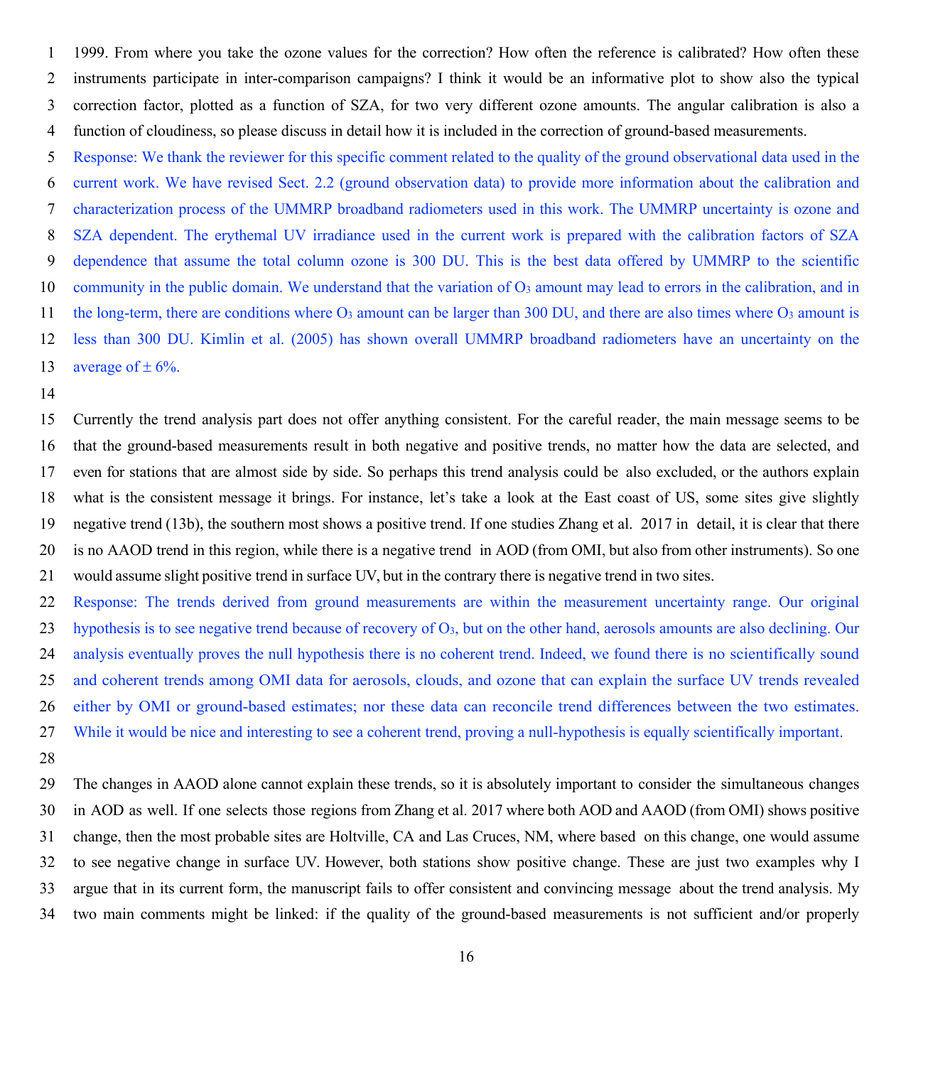1999. From where you take the ozone values for the correction? How often the reference is calibrated? How often these instruments participate in inter-comparison campaigns? I think it would be an informative plot to show also the typical correction factor, plotted as a function of SZA, for two very different ozone amounts. The angular calibration is also a function of cloudiness, so please discuss in detail how it is included in the correction of ground-based measurements.

 Response: We thank the reviewer for this specific comment related to the quality of the ground observational data used in the current work. We have revised Sect. 2.2 (ground observation data) to provide more information about the calibration and characterization process of the UMMRP broadband radiometers used in this work. The UMMRP uncertainty is ozone and SZA dependent. The erythemal UV irradiance used in the current work is prepared with the calibration factors of SZA dependence that assume the total column ozone is 300 DU. This is the best data offered by UMMRP to the scientific 10 community in the public domain. We understand that the variation of O<sub>3</sub> amount may lead to errors in the calibration, and in 11 the long-term, there are conditions where  $O_3$  amount can be larger than 300 DU, and there are also times where  $O_3$  amount is less than 300 DU. Kimlin et al. (2005) has shown overall UMMRP broadband radiometers have an uncertainty on the 13 average of  $\pm$  6%.

 Currently the trend analysis part does not offer anything consistent. For the careful reader, the main message seems to be that the ground-based measurements result in both negative and positive trends, no matter how the data are selected, and even for stations that are almost side by side. So perhaps this trend analysis could be also excluded, or the authors explain what is the consistent message it brings. For instance, let's take a look at the East coast of US, some sites give slightly negative trend (13b), the southern most shows a positive trend. If one studies Zhang et al. 2017 in detail, it is clear that there is no AAOD trend in this region, while there is a negative trend in AOD (from OMI, but also from other instruments). So one would assume slight positive trend in surface UV, but in the contrary there is negative trend in two sites.

 Response: The trends derived from ground measurements are within the measurement uncertainty range. Our original hypothesis is to see negative trend because of recovery of O3, but on the other hand, aerosols amounts are also declining. Our analysis eventually proves the null hypothesis there is no coherent trend. Indeed, we found there is no scientifically sound and coherent trends among OMI data for aerosols, clouds, and ozone that can explain the surface UV trends revealed either by OMI or ground-based estimates; nor these data can reconcile trend differences between the two estimates. While it would be nice and interesting to see a coherent trend, proving a null-hypothesis is equally scientifically important.

 The changes in AAOD alone cannot explain these trends, so it is absolutely important to consider the simultaneous changes in AOD as well. If one selects those regions from Zhang et al. 2017 where both AOD and AAOD (from OMI) shows positive change, then the most probable sites are Holtville, CA and Las Cruces, NM, where based on this change, one would assume to see negative change in surface UV. However, both stations show positive change. These are just two examples why I argue that in its current form, the manuscript fails to offer consistent and convincing message about the trend analysis. My two main comments might be linked: if the quality of the ground-based measurements is not sufficient and/or properly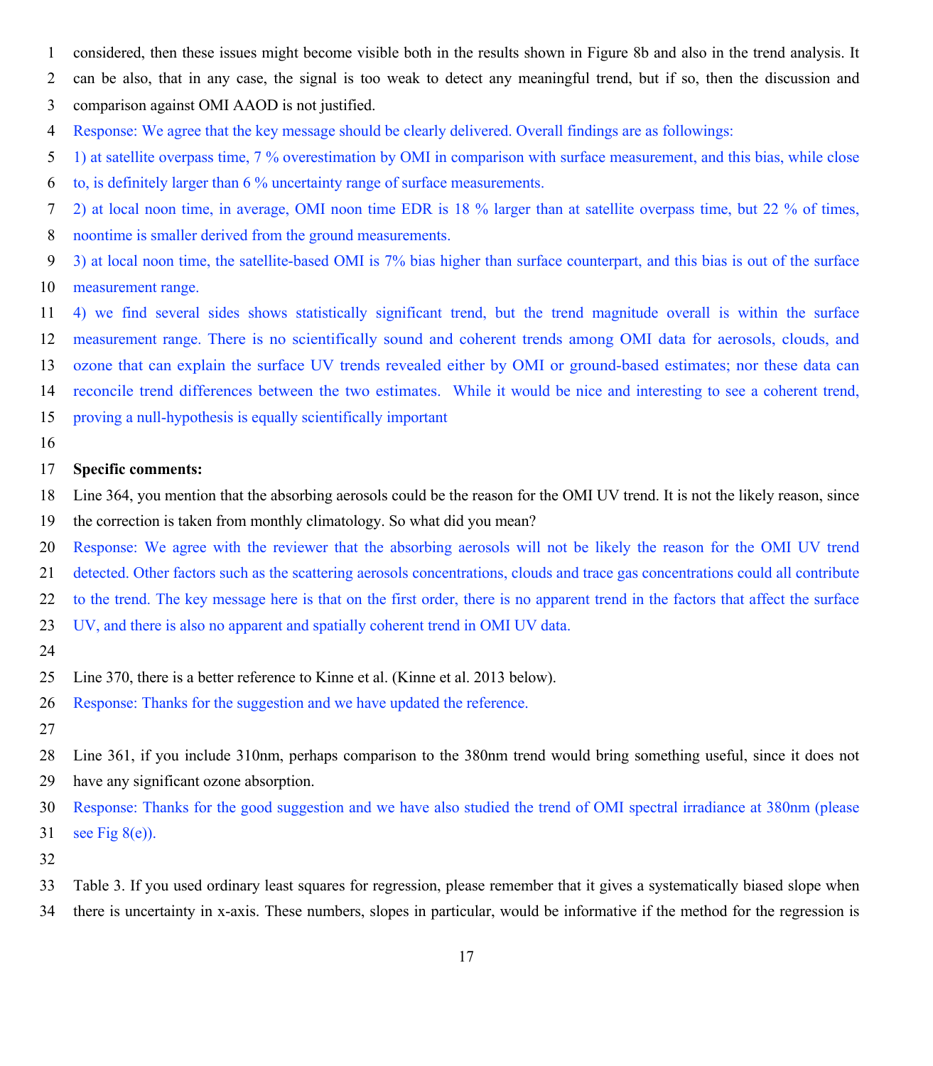- considered, then these issues might become visible both in the results shown in Figure 8b and also in the trend analysis. It
- can be also, that in any case, the signal is too weak to detect any meaningful trend, but if so, then the discussion and
- comparison against OMI AAOD is not justified.
- Response: We agree that the key message should be clearly delivered. Overall findings are as followings:
- 1) at satellite overpass time, 7 % overestimation by OMI in comparison with surface measurement, and this bias, while close
- to, is definitely larger than 6 % uncertainty range of surface measurements.
- 2) at local noon time, in average, OMI noon time EDR is 18 % larger than at satellite overpass time, but 22 % of times,
- noontime is smaller derived from the ground measurements.
- 3) at local noon time, the satellite-based OMI is 7% bias higher than surface counterpart, and this bias is out of the surface measurement range.
- 4) we find several sides shows statistically significant trend, but the trend magnitude overall is within the surface measurement range. There is no scientifically sound and coherent trends among OMI data for aerosols, clouds, and ozone that can explain the surface UV trends revealed either by OMI or ground-based estimates; nor these data can reconcile trend differences between the two estimates. While it would be nice and interesting to see a coherent trend,
- proving a null-hypothesis is equally scientifically important
- 

### **Specific comments:**

- Line 364, you mention that the absorbing aerosols could be the reason for the OMI UV trend. It is not the likely reason, since
- the correction is taken from monthly climatology. So what did you mean?
- Response: We agree with the reviewer that the absorbing aerosols will not be likely the reason for the OMI UV trend
- detected. Other factors such as the scattering aerosols concentrations, clouds and trace gas concentrations could all contribute
- to the trend. The key message here is that on the first order, there is no apparent trend in the factors that affect the surface
- UV, and there is also no apparent and spatially coherent trend in OMI UV data.
- 
- Line 370, there is a better reference to Kinne et al. (Kinne et al. 2013 below).
- Response: Thanks for the suggestion and we have updated the reference.
- 
- Line 361, if you include 310nm, perhaps comparison to the 380nm trend would bring something useful, since it does not have any significant ozone absorption.
- Response: Thanks for the good suggestion and we have also studied the trend of OMI spectral irradiance at 380nm (please 31 see Fig  $8(e)$ ).
- 
- Table 3. If you used ordinary least squares for regression, please remember that it gives a systematically biased slope when
- there is uncertainty in x-axis. These numbers, slopes in particular, would be informative if the method for the regression is